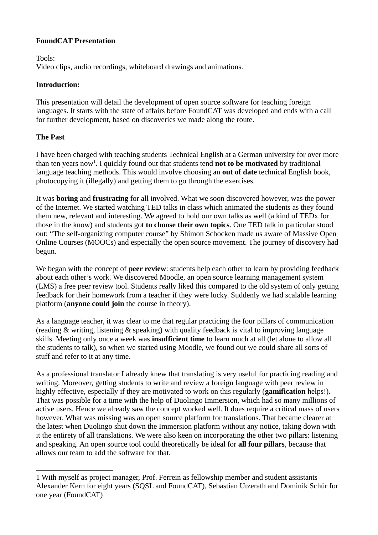### **FoundCAT Presentation**

Tools:

Video clips, audio recordings, whiteboard drawings and animations.

#### **Introduction:**

This presentation will detail the development of open source software for teaching foreign languages. It starts with the state of affairs before FoundCAT was developed and ends with a call for further development, based on discoveries we made along the route.

### **The Past**

I have been charged with teaching students Technical English at a German university for over more than ten years now<sup>[1](#page-0-0)</sup>. I quickly found out that students tend **not to be motivated** by traditional language teaching methods. This would involve choosing an **out of date** technical English book, photocopying it (illegally) and getting them to go through the exercises.

It was **boring** and **frustrating** for all involved. What we soon discovered however, was the power of the Internet. We started watching TED talks in class which animated the students as they found them new, relevant and interesting. We agreed to hold our own talks as well (a kind of TEDx for those in the know) and students got **to choose their own topics**. One TED talk in particular stood out: "The self-organizing computer course" by Shimon Schocken made us aware of Massive Open Online Courses (MOOCs) and especially the open source movement. The journey of discovery had begun.

We began with the concept of **peer review**: students help each other to learn by providing feedback about each other's work. We discovered Moodle, an open source learning management system (LMS) a free peer review tool. Students really liked this compared to the old system of only getting feedback for their homework from a teacher if they were lucky. Suddenly we had scalable learning platform (**anyone could join** the course in theory).

As a language teacher, it was clear to me that regular practicing the four pillars of communication (reading & writing, listening & speaking) with quality feedback is vital to improving language skills. Meeting only once a week was **insufficient time** to learn much at all (let alone to allow all the students to talk), so when we started using Moodle, we found out we could share all sorts of stuff and refer to it at any time.

As a professional translator I already knew that translating is very useful for practicing reading and writing. Moreover, getting students to write and review a foreign language with peer review in highly effective, especially if they are motivated to work on this regularly (**gamification** helps!). That was possible for a time with the help of Duolingo Immersion, which had so many millions of active users. Hence we already saw the concept worked well. It does require a critical mass of users however. What was missing was an open source platform for translations. That became clearer at the latest when Duolingo shut down the Immersion platform without any notice, taking down with it the entirety of all translations. We were also keen on incorporating the other two pillars: listening and speaking. An open source tool could theoretically be ideal for **all four pillars**, because that allows our team to add the software for that.

<span id="page-0-0"></span><sup>1</sup> With myself as project manager, Prof. Ferrein as fellowship member and student assistants Alexander Kern for eight years (SQSL and FoundCAT), Sebastian Utzerath and Dominik Schür for one year (FoundCAT)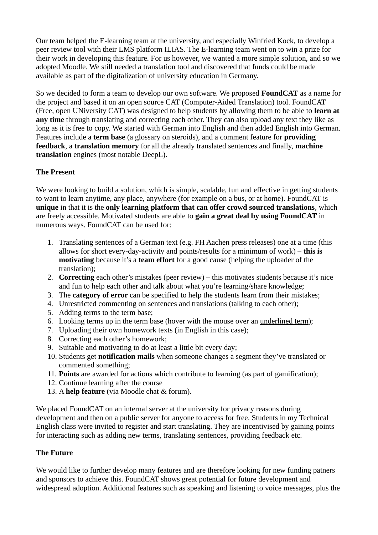Our team helped the E-learning team at the university, and especially Winfried Kock, to develop a peer review tool with their LMS platform ILIAS. The E-learning team went on to win a prize for their work in developing this feature. For us however, we wanted a more simple solution, and so we adopted Moodle. We still needed a translation tool and discovered that funds could be made available as part of the digitalization of university education in Germany.

So we decided to form a team to develop our own software. We proposed **FoundCAT** as a name for the project and based it on an open source CAT (Computer-Aided Translation) tool. FoundCAT (Free, open UNiversity CAT) was designed to help students by allowing them to be able to **learn at any time** through translating and correcting each other. They can also upload any text they like as long as it is free to copy. We started with German into English and then added English into German. Features include a **term base** (a glossary on steroids), and a comment feature for **providing feedback**, a **translation memory** for all the already translated sentences and finally, **machine translation** engines (most notable DeepL).

## **The Present**

We were looking to build a solution, which is simple, scalable, fun and effective in getting students to want to learn anytime, any place, anywhere (for example on a bus, or at home). FoundCAT is **unique** in that it is the **only learning platform that can offer crowd sourced translations**, which are freely accessible. Motivated students are able to **gain a great deal by using FoundCAT** in numerous ways. FoundCAT can be used for:

- 1. Translating sentences of a German text (e.g. FH Aachen press releases) one at a time (this allows for short every-day-activity and points/results for a minimum of work) – **this is motivating** because it's a **team effort** for a good cause (helping the uploader of the translation);
- 2. **Correcting** each other's mistakes (peer review) this motivates students because it's nice and fun to help each other and talk about what you're learning/share knowledge;
- 3. The **category of error** can be specified to help the students learn from their mistakes;
- 4. Unrestricted commenting on sentences and translations (talking to each other);
- 5. Adding terms to the term base;
- 6. Looking terms up in the term base (hover with the mouse over an underlined term);
- 7. Uploading their own homework texts (in English in this case);
- 8. Correcting each other's homework;
- 9. Suitable and motivating to do at least a little bit every day;
- 10. Students get **notification mails** when someone changes a segment they've translated or commented something;
- 11. **Points** are awarded for actions which contribute to learning (as part of gamification);
- 12. Continue learning after the course
- 13. A **help feature** (via Moodle chat & forum).

We placed FoundCAT on an internal server at the university for privacy reasons during development and then on a public server for anyone to access for free. Students in my Technical English class were invited to register and start translating. They are incentivised by gaining points for interacting such as adding new terms, translating sentences, providing feedback etc.

# **The Future**

We would like to further develop many features and are therefore looking for new funding patners and sponsors to achieve this. FoundCAT shows great potential for future development and widespread adoption. Additional features such as speaking and listening to voice messages, plus the